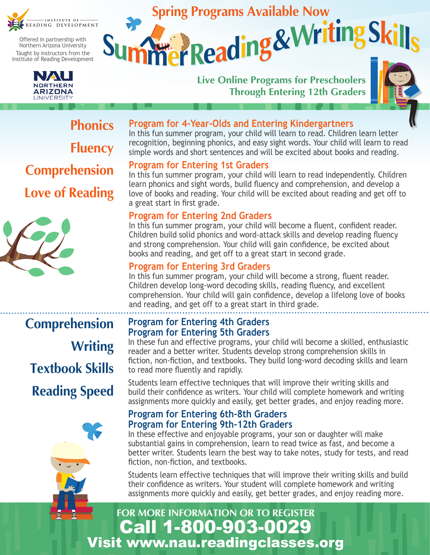

Offered in partnership with Northern Arizona University Taught by instructors from the Institute of Reading Development



# **Live Online Programs for Preschoolers Through Entering 12th Graders Spring Programs Available Now<br>Mer Reading & Writing**



**Phonics Fluency Comprehension Love of Reading**



#### **Program for 4-Year-Olds and Entering Kindergartners**

In this fun summer program, your child will learn to read. Children learn letter recognition, beginning phonics, and easy sight words. Your child will learn to read simple words and short sentences and will be excited about books and reading.

#### **Program for Entering 1st Graders**

In this fun summer program, your child will learn to read independently. Children learn phonics and sight words, build fluency and comprehension, and develop a love of books and reading. Your child will be excited about reading and get off to a great start in first grade.

#### **Program for Entering 2nd Graders**

In this fun summer program, your child will become a fluent, confident reader. Children build solid phonics and word-attack skills and develop reading fluency and strong comprehension. Your child will gain confidence, be excited about books and reading, and get off to a great start in second grade.

#### **Program for Entering 3rd Graders**

In this fun summer program, your child will become a strong, fluent reader. Children develop long-word decoding skills, reading fluency, and excellent comprehension. Your child will gain confidence, develop a lifelong love of books and reading, and get off to a great start in third grade.

# **Comprehension Writing Textbook Skills Reading Speed**

#### **Program for Entering 4th Graders Program for Entering 5th Graders**

In these fun and effective programs, your child will become a skilled, enthusiastic reader and a better writer. Students develop strong comprehension skills in fiction, non-fiction, and textbooks. They build long-word decoding skills and learn to read more fluently and rapidly.

Students learn effective techniques that will improve their writing skills and build their confidence as writers. Your child will complete homework and writing assignments more quickly and easily, get better grades, and enjoy reading more.

#### **Program for Entering 6th-8th Graders Program for Entering 9th-12th Graders**

In these effective and enjoyable programs, your son or daughter will make substantial gains in comprehension, learn to read twice as fast, and become a better writer. Students learn the best way to take notes, study for tests, and read fiction, non-fiction, and textbooks.

Students learn effective techniques that will improve their writing skills and build their confidence as writers. Your student will complete homework and writing assignments more quickly and easily, get better grades, and enjoy reading more.

## Call 1-800-903-0029 Visit www.nau.readingclasses.org **FOR MORE INFORMATION OR TO REGISTER**